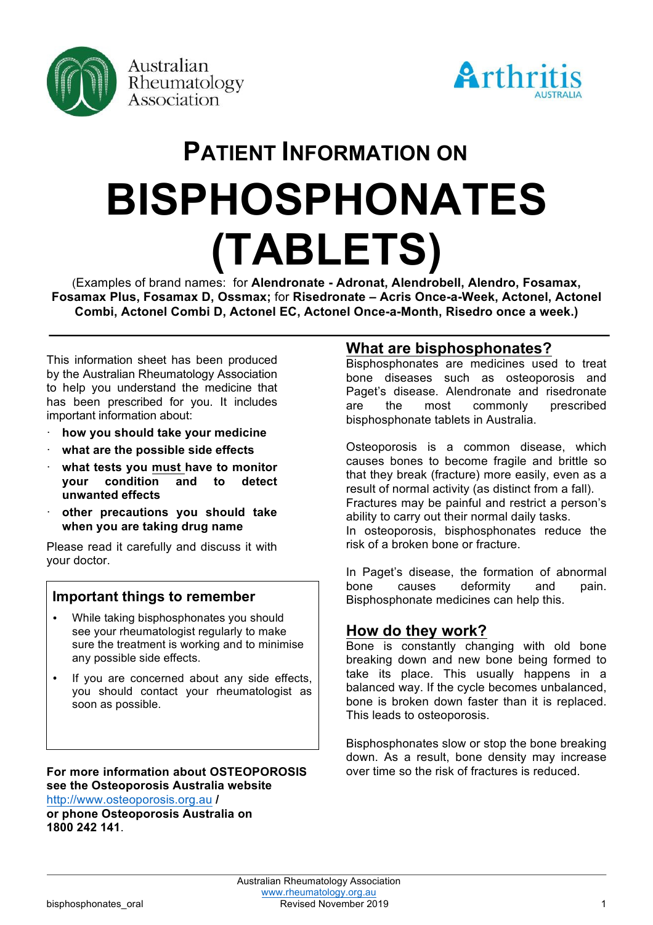



# **PATIENT INFORMATION ON BISPHOSPHONATES (TABLETS)**

(Examples of brand names: for **Alendronate - Adronat, Alendrobell, Alendro, Fosamax, Fosamax Plus, Fosamax D, Ossmax;** for **Risedronate – Acris Once-a-Week, Actonel, Actonel Combi, Actonel Combi D, Actonel EC, Actonel Once-a-Month, Risedro once a week.)**

This information sheet has been produced by the Australian Rheumatology Association to help you understand the medicine that has been prescribed for you. It includes important information about:

- · **how you should take your medicine**
- · **what are the possible side effects**
- · **what tests you must have to monitor your condition and to detect unwanted effects**
- · **other precautions you should take when you are taking drug name**

Please read it carefully and discuss it with your doctor.

## **Important things to remember**

- While taking bisphosphonates you should see your rheumatologist regularly to make sure the treatment is working and to minimise any possible side effects.
- If you are concerned about any side effects, you should contact your rheumatologist as soon as possible.

**For more information about OSTEOPOROSIS see the Osteoporosis Australia website**  http://www.osteoporosis.org.au **/**

**or phone Osteoporosis Australia on 1800 242 141**.

## **What are bisphosphonates?**

Bisphosphonates are medicines used to treat bone diseases such as osteoporosis and Paget's disease. Alendronate and risedronate are the most commonly prescribed bisphosphonate tablets in Australia.

Osteoporosis is a common disease, which causes bones to become fragile and brittle so that they break (fracture) more easily, even as a result of normal activity (as distinct from a fall). Fractures may be painful and restrict a person's ability to carry out their normal daily tasks. In osteoporosis, bisphosphonates reduce the risk of a broken bone or fracture.

In Paget's disease, the formation of abnormal bone causes deformity and pain. Bisphosphonate medicines can help this.

## **How do they work?**

Bone is constantly changing with old bone breaking down and new bone being formed to take its place. This usually happens in a balanced way. If the cycle becomes unbalanced, bone is broken down faster than it is replaced. This leads to osteoporosis.

Bisphosphonates slow or stop the bone breaking down. As a result, bone density may increase over time so the risk of fractures is reduced.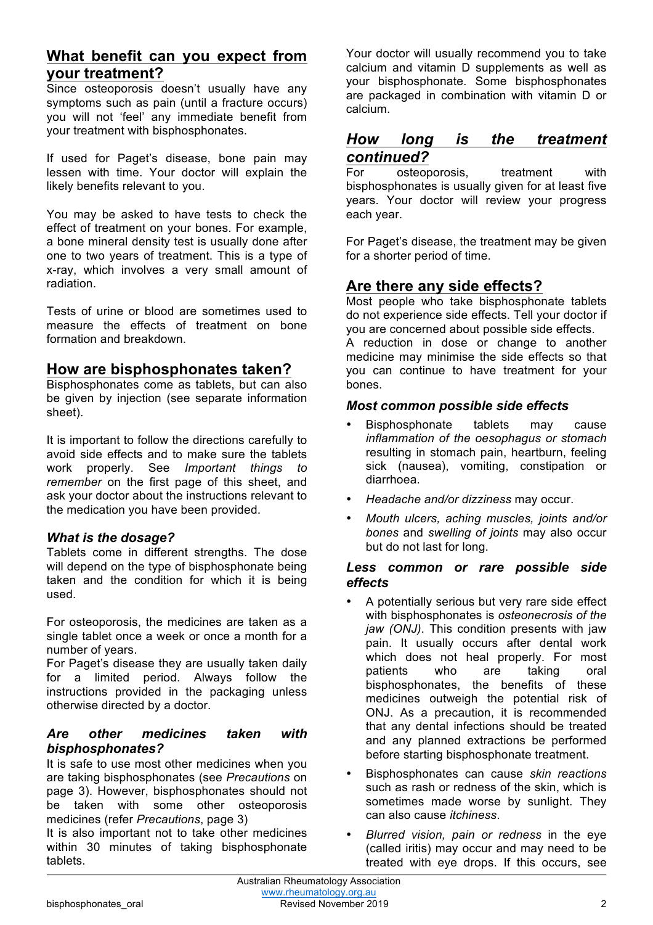# **What benefit can you expect from your treatment?**

Since osteoporosis doesn't usually have any symptoms such as pain (until a fracture occurs) you will not 'feel' any immediate benefit from your treatment with bisphosphonates.

If used for Paget's disease, bone pain may lessen with time. Your doctor will explain the likely benefits relevant to you.

You may be asked to have tests to check the effect of treatment on your bones. For example, a bone mineral density test is usually done after one to two years of treatment. This is a type of x-ray, which involves a very small amount of radiation.

Tests of urine or blood are sometimes used to measure the effects of treatment on bone formation and breakdown.

# **How are bisphosphonates taken?**

Bisphosphonates come as tablets, but can also be given by injection (see separate information sheet).

It is important to follow the directions carefully to avoid side effects and to make sure the tablets work properly. See *Important things to remember* on the first page of this sheet, and ask your doctor about the instructions relevant to the medication you have been provided.

## *What is the dosage?*

Tablets come in different strengths. The dose will depend on the type of bisphosphonate being taken and the condition for which it is being used.

For osteoporosis, the medicines are taken as a single tablet once a week or once a month for a number of years.

For Paget's disease they are usually taken daily for a limited period. Always follow the instructions provided in the packaging unless otherwise directed by a doctor.

### *Are other medicines taken with bisphosphonates?*

It is safe to use most other medicines when you are taking bisphosphonates (see *Precautions* on page 3). However, bisphosphonates should not be taken with some other osteoporosis medicines (refer *Precautions*, page 3)

It is also important not to take other medicines within 30 minutes of taking bisphosphonate tablets.

Your doctor will usually recommend you to take calcium and vitamin D supplements as well as your bisphosphonate. Some bisphosphonates are packaged in combination with vitamin D or calcium.

# *How long is the treatment continued?*

For osteoporosis, treatment with bisphosphonates is usually given for at least five years. Your doctor will review your progress each year.

For Paget's disease, the treatment may be given for a shorter period of time.

# **Are there any side effects?**

Most people who take bisphosphonate tablets do not experience side effects. Tell your doctor if you are concerned about possible side effects.

A reduction in dose or change to another medicine may minimise the side effects so that you can continue to have treatment for your bones.

## *Most common possible side effects*

- Bisphosphonate tablets may cause *inflammation of the oesophagus or stomach*  resulting in stomach pain, heartburn, feeling sick (nausea), vomiting, constipation or diarrhoea.
- *Headache and/or dizziness* may occur.
- *Mouth ulcers, aching muscles, joints and/or bones* and *swelling of joints* may also occur but do not last for long.

### *Less common or rare possible side effects*

- A potentially serious but very rare side effect with bisphosphonates is *osteonecrosis of the jaw (ONJ)*. This condition presents with jaw pain. It usually occurs after dental work which does not heal properly. For most patients who are taking oral bisphosphonates, the benefits of these medicines outweigh the potential risk of ONJ. As a precaution, it is recommended that any dental infections should be treated and any planned extractions be performed before starting bisphosphonate treatment.
- Bisphosphonates can cause *skin reactions*  such as rash or redness of the skin, which is sometimes made worse by sunlight. They can also cause *itchiness*.
- *Blurred vision, pain or redness* in the eye (called iritis) may occur and may need to be treated with eye drops. If this occurs, see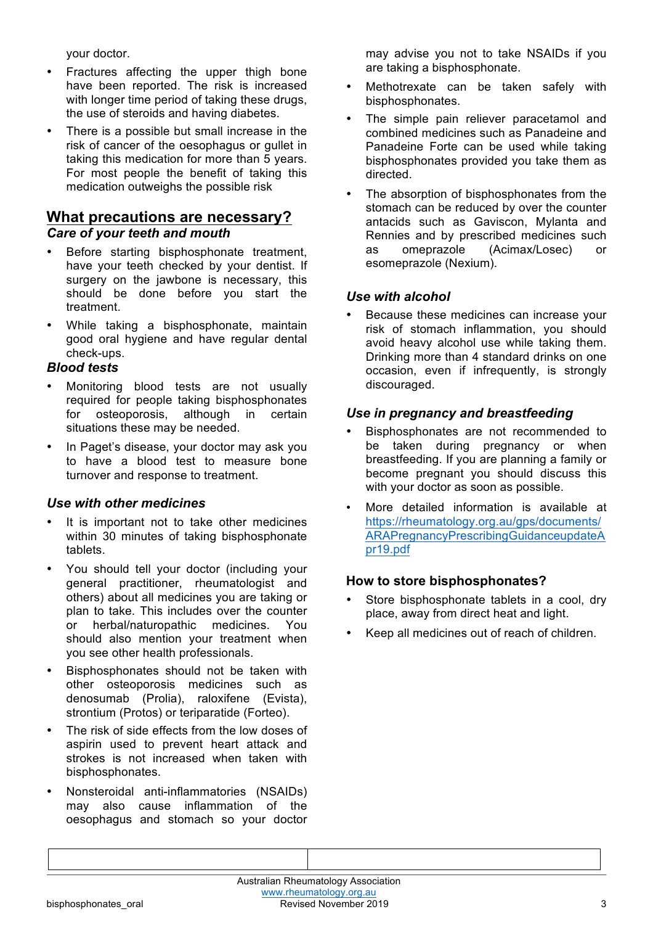your doctor.

- Fractures affecting the upper thigh bone have been reported. The risk is increased with longer time period of taking these drugs, the use of steroids and having diabetes.
- There is a possible but small increase in the risk of cancer of the oesophagus or gullet in taking this medication for more than 5 years. For most people the benefit of taking this medication outweighs the possible risk

## **What precautions are necessary?**  *Care of your teeth and mouth*

- Before starting bisphosphonate treatment, have your teeth checked by your dentist. If surgery on the jawbone is necessary, this should be done before you start the treatment.
- While taking a bisphosphonate, maintain good oral hygiene and have regular dental check-ups.

## *Blood tests*

- Monitoring blood tests are not usually required for people taking bisphosphonates for osteoporosis, although in certain situations these may be needed.
- In Paget's disease, your doctor may ask you to have a blood test to measure bone turnover and response to treatment.

## *Use with other medicines*

- It is important not to take other medicines within 30 minutes of taking bisphosphonate tablets.
- You should tell your doctor (including your general practitioner, rheumatologist and others) about all medicines you are taking or plan to take. This includes over the counter or herbal/naturopathic medicines. You should also mention your treatment when you see other health professionals.
- Bisphosphonates should not be taken with other osteoporosis medicines such as denosumab (Prolia), raloxifene (Evista), strontium (Protos) or teriparatide (Forteo).
- The risk of side effects from the low doses of aspirin used to prevent heart attack and strokes is not increased when taken with bisphosphonates.
- Nonsteroidal anti-inflammatories (NSAIDs) may also cause inflammation of the oesophagus and stomach so your doctor

may advise you not to take NSAIDs if you are taking a bisphosphonate.

- Methotrexate can be taken safely with bisphosphonates.
- The simple pain reliever paracetamol and combined medicines such as Panadeine and Panadeine Forte can be used while taking bisphosphonates provided you take them as directed.
- The absorption of bisphosphonates from the stomach can be reduced by over the counter antacids such as Gaviscon, Mylanta and Rennies and by prescribed medicines such as omeprazole (Acimax/Losec) or esomeprazole (Nexium).

## *Use with alcohol*

• Because these medicines can increase your risk of stomach inflammation, you should avoid heavy alcohol use while taking them. Drinking more than 4 standard drinks on one occasion, even if infrequently, is strongly discouraged.

## *Use in pregnancy and breastfeeding*

- Bisphosphonates are not recommended to be taken during pregnancy or when breastfeeding. If you are planning a family or become pregnant you should discuss this with your doctor as soon as possible.
- More detailed information is available at https://rheumatology.org.au/gps/documents/ ARAPregnancyPrescribingGuidanceupdateA pr19.pdf

## **How to store bisphosphonates?**

- Store bisphosphonate tablets in a cool, dry place, away from direct heat and light.
- Keep all medicines out of reach of children.